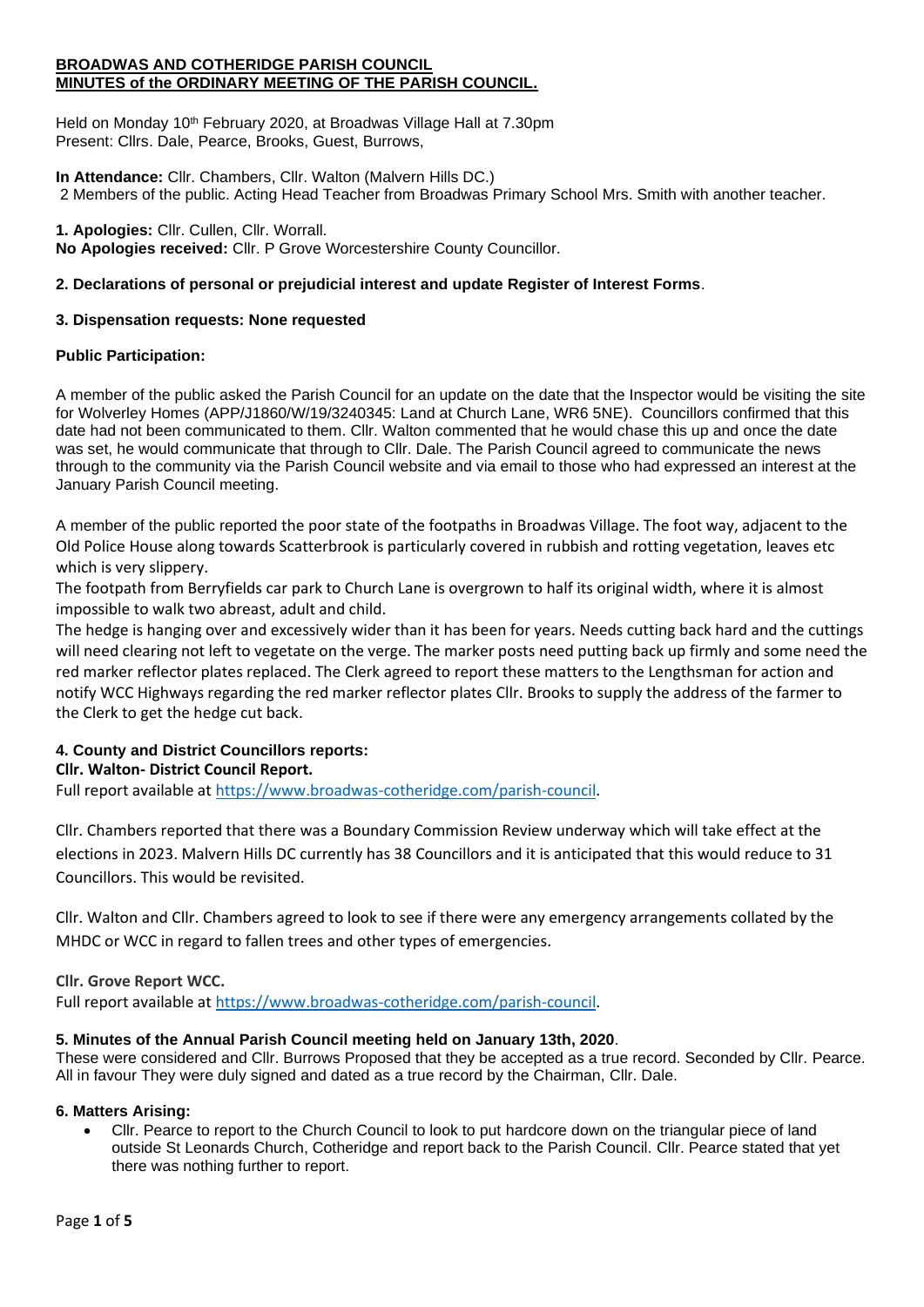#### **BROADWAS AND COTHERIDGE PARISH COUNCIL MINUTES of the ORDINARY MEETING OF THE PARISH COUNCIL.**

Held on Monday 10<sup>th</sup> February 2020, at Broadwas Village Hall at 7.30pm Present: Cllrs. Dale, Pearce, Brooks, Guest, Burrows,

**In Attendance:** Cllr. Chambers, Cllr. Walton (Malvern Hills DC.) 2 Members of the public. Acting Head Teacher from Broadwas Primary School Mrs. Smith with another teacher.

**1. Apologies:** Cllr. Cullen, Cllr. Worrall. **No Apologies received:** Cllr. P Grove Worcestershire County Councillor.

## **2. Declarations of personal or prejudicial interest and update Register of Interest Forms**.

### **3. Dispensation requests: None requested**

## **Public Participation:**

A member of the public asked the Parish Council for an update on the date that the Inspector would be visiting the site for Wolverley Homes (APP/J1860/W/19/3240345: Land at Church Lane, WR6 5NE). Councillors confirmed that this date had not been communicated to them. Cllr. Walton commented that he would chase this up and once the date was set, he would communicate that through to Cllr. Dale. The Parish Council agreed to communicate the news through to the community via the Parish Council website and via email to those who had expressed an interest at the January Parish Council meeting.

A member of the public reported the poor state of the footpaths in Broadwas Village. The foot way, adjacent to the Old Police House along towards Scatterbrook is particularly covered in rubbish and rotting vegetation, leaves etc which is very slippery.

The footpath from Berryfields car park to Church Lane is overgrown to half its original width, where it is almost impossible to walk two abreast, adult and child.

The hedge is hanging over and excessively wider than it has been for years. Needs cutting back hard and the cuttings will need clearing not left to vegetate on the verge. The marker posts need putting back up firmly and some need the red marker reflector plates replaced. The Clerk agreed to report these matters to the Lengthsman for action and notify WCC Highways regarding the red marker reflector plates Cllr. Brooks to supply the address of the farmer to the Clerk to get the hedge cut back.

# **4. County and District Councillors reports:**

### **Cllr. Walton- District Council Report.**

Full report available at [https://www.broadwas-cotheridge.com/parish-council.](https://www.broadwas-cotheridge.com/parish-council)

Cllr. Chambers reported that there was a Boundary Commission Review underway which will take effect at the elections in 2023. Malvern Hills DC currently has 38 Councillors and it is anticipated that this would reduce to 31 Councillors. This would be revisited.

Cllr. Walton and Cllr. Chambers agreed to look to see if there were any emergency arrangements collated by the MHDC or WCC in regard to fallen trees and other types of emergencies.

### **Cllr. Grove Report WCC.**

Full report available at [https://www.broadwas-cotheridge.com/parish-council.](https://www.broadwas-cotheridge.com/parish-council)

### **5. Minutes of the Annual Parish Council meeting held on January 13th, 2020**.

These were considered and Cllr. Burrows Proposed that they be accepted as a true record. Seconded by Cllr. Pearce. All in favour They were duly signed and dated as a true record by the Chairman, Cllr. Dale.

### **6. Matters Arising:**

• Cllr. Pearce to report to the Church Council to look to put hardcore down on the triangular piece of land outside St Leonards Church, Cotheridge and report back to the Parish Council. Cllr. Pearce stated that yet there was nothing further to report.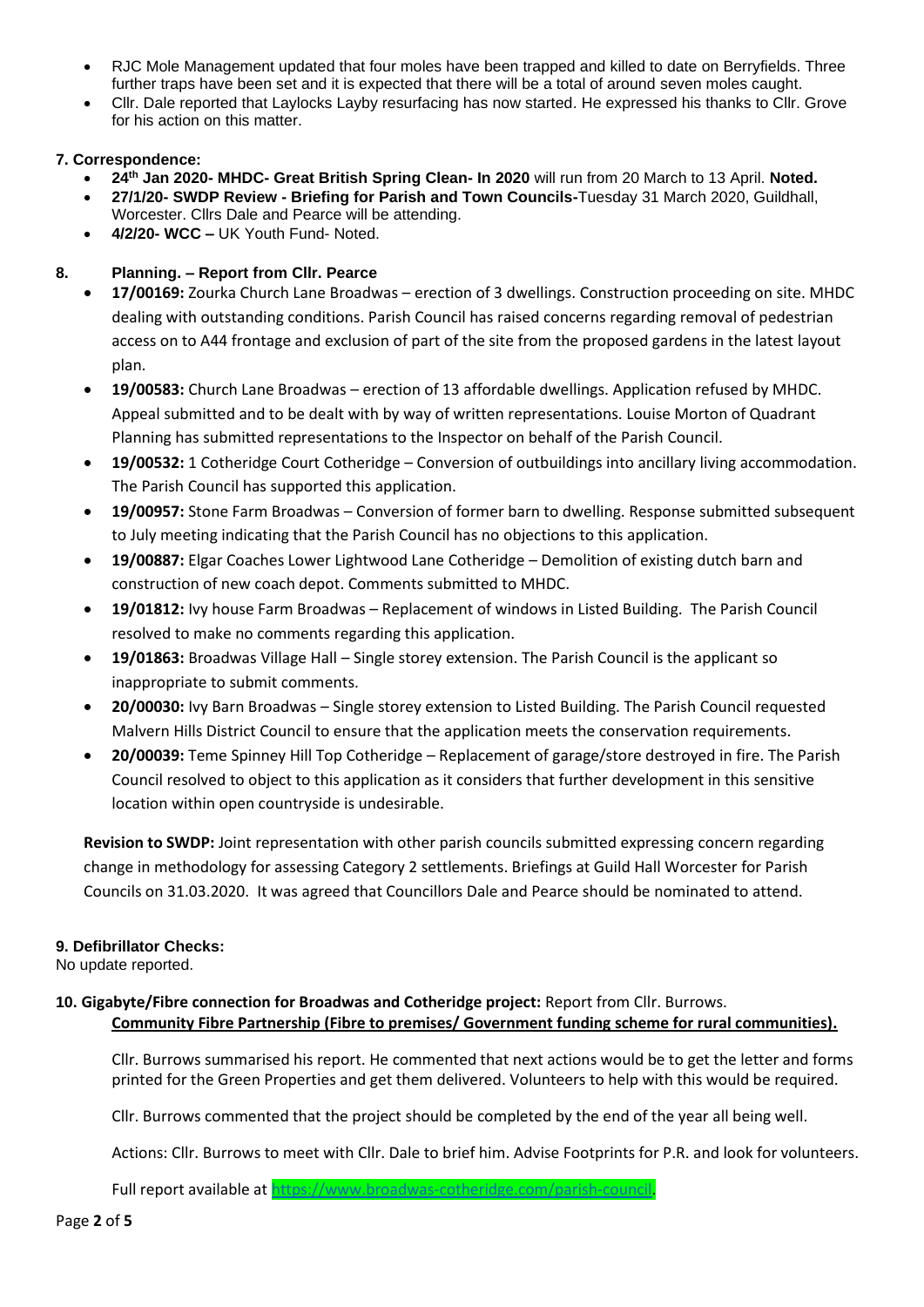- RJC Mole Management updated that four moles have been trapped and killed to date on Berryfields. Three further traps have been set and it is expected that there will be a total of around seven moles caught.
- Cllr. Dale reported that Laylocks Layby resurfacing has now started. He expressed his thanks to Cllr. Grove for his action on this matter.

### **7. Correspondence:**

- **24th Jan 2020- MHDC- Great British Spring Clean- In 2020** will run from 20 March to 13 April. **Noted.**
- **27/1/20- SWDP Review - Briefing for Parish and Town Councils-**Tuesday 31 March 2020, Guildhall, Worcester. Cllrs Dale and Pearce will be attending.
- **4/2/20- WCC –** UK Youth Fund- Noted.

# **8. Planning. – Report from Cllr. Pearce**

- **17/00169:** Zourka Church Lane Broadwas erection of 3 dwellings. Construction proceeding on site. MHDC dealing with outstanding conditions. Parish Council has raised concerns regarding removal of pedestrian access on to A44 frontage and exclusion of part of the site from the proposed gardens in the latest layout plan.
- **19/00583:** Church Lane Broadwas erection of 13 affordable dwellings. Application refused by MHDC. Appeal submitted and to be dealt with by way of written representations. Louise Morton of Quadrant Planning has submitted representations to the Inspector on behalf of the Parish Council.
- **19/00532:** 1 Cotheridge Court Cotheridge Conversion of outbuildings into ancillary living accommodation. The Parish Council has supported this application.
- **19/00957:** Stone Farm Broadwas Conversion of former barn to dwelling. Response submitted subsequent to July meeting indicating that the Parish Council has no objections to this application.
- **19/00887:** Elgar Coaches Lower Lightwood Lane Cotheridge Demolition of existing dutch barn and construction of new coach depot. Comments submitted to MHDC.
- **19/01812:** Ivy house Farm Broadwas Replacement of windows in Listed Building. The Parish Council resolved to make no comments regarding this application.
- **19/01863:** Broadwas Village Hall Single storey extension. The Parish Council is the applicant so inappropriate to submit comments.
- **20/00030:** Ivy Barn Broadwas Single storey extension to Listed Building. The Parish Council requested Malvern Hills District Council to ensure that the application meets the conservation requirements.
- **20/00039:** Teme Spinney Hill Top Cotheridge Replacement of garage/store destroyed in fire. The Parish Council resolved to object to this application as it considers that further development in this sensitive location within open countryside is undesirable.

**Revision to SWDP:** Joint representation with other parish councils submitted expressing concern regarding change in methodology for assessing Category 2 settlements. Briefings at Guild Hall Worcester for Parish Councils on 31.03.2020. It was agreed that Councillors Dale and Pearce should be nominated to attend.

# **9. Defibrillator Checks:**

No update reported.

**10. Gigabyte/Fibre connection for Broadwas and Cotheridge project:** Report from Cllr. Burrows. **Community Fibre Partnership (Fibre to premises/ Government funding scheme for rural communities).**

Cllr. Burrows summarised his report. He commented that next actions would be to get the letter and forms printed for the Green Properties and get them delivered. Volunteers to help with this would be required.

Cllr. Burrows commented that the project should be completed by the end of the year all being well.

Actions: Cllr. Burrows to meet with Cllr. Dale to brief him. Advise Footprints for P.R. and look for volunteers.

Full report available at [https://www.broadwas-cotheridge.com/parish-council.](https://www.broadwas-cotheridge.com/parish-council)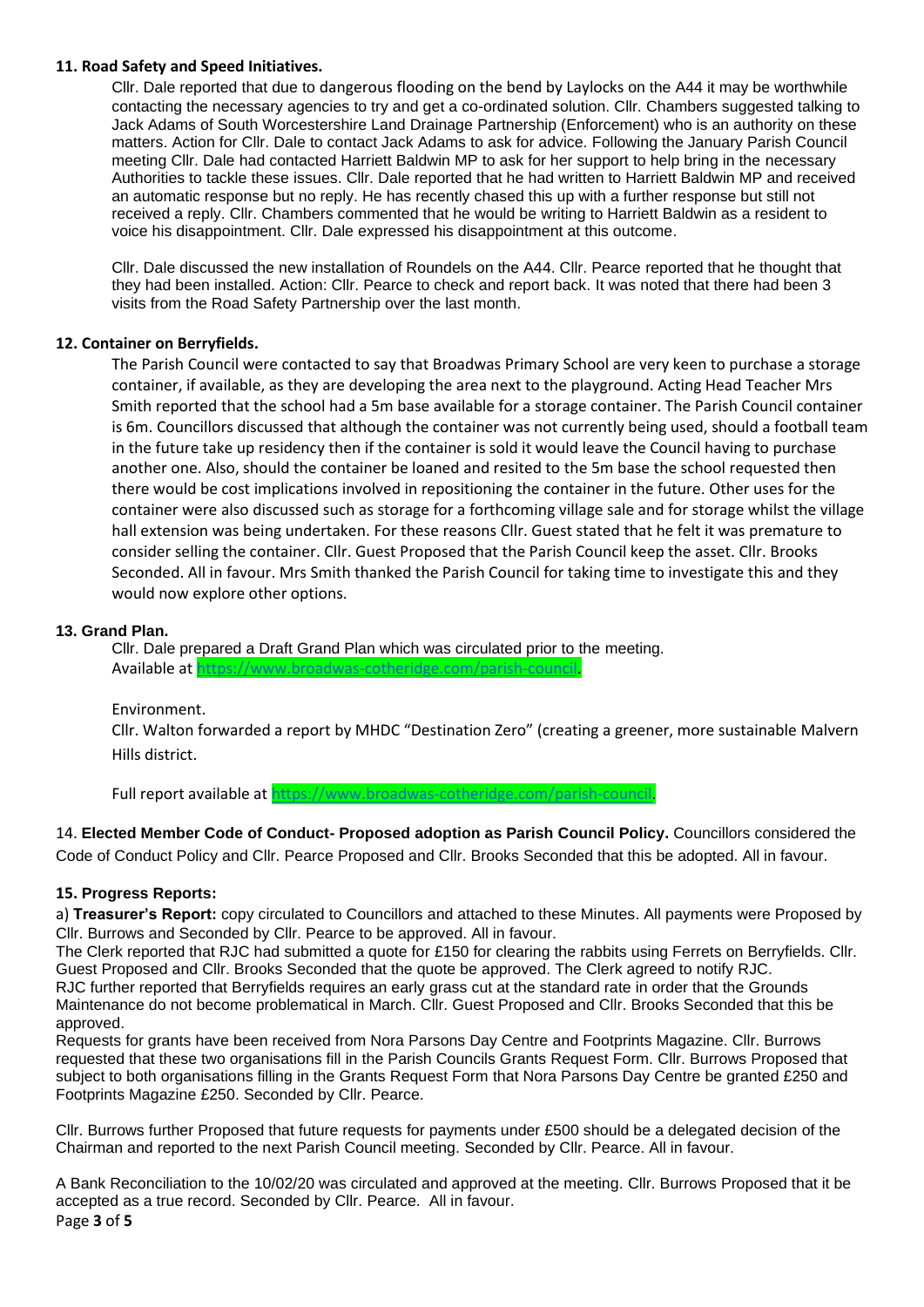#### **11. Road Safety and Speed Initiatives.**

Cllr. Dale reported that due to dangerous flooding on the bend by Laylocks on the A44 it may be worthwhile contacting the necessary agencies to try and get a co-ordinated solution. Cllr. Chambers suggested talking to Jack Adams of South Worcestershire Land Drainage Partnership (Enforcement) who is an authority on these matters. Action for Cllr. Dale to contact Jack Adams to ask for advice. Following the January Parish Council meeting Cllr. Dale had contacted Harriett Baldwin MP to ask for her support to help bring in the necessary Authorities to tackle these issues. Cllr. Dale reported that he had written to Harriett Baldwin MP and received an automatic response but no reply. He has recently chased this up with a further response but still not received a reply. Cllr. Chambers commented that he would be writing to Harriett Baldwin as a resident to voice his disappointment. Cllr. Dale expressed his disappointment at this outcome.

Cllr. Dale discussed the new installation of Roundels on the A44. Cllr. Pearce reported that he thought that they had been installed. Action: Cllr. Pearce to check and report back. It was noted that there had been 3 visits from the Road Safety Partnership over the last month.

### **12. Container on Berryfields.**

The Parish Council were contacted to say that Broadwas Primary School are very keen to purchase a storage container, if available, as they are developing the area next to the playground. Acting Head Teacher Mrs Smith reported that the school had a 5m base available for a storage container. The Parish Council container is 6m. Councillors discussed that although the container was not currently being used, should a football team in the future take up residency then if the container is sold it would leave the Council having to purchase another one. Also, should the container be loaned and resited to the 5m base the school requested then there would be cost implications involved in repositioning the container in the future. Other uses for the container were also discussed such as storage for a forthcoming village sale and for storage whilst the village hall extension was being undertaken. For these reasons Cllr. Guest stated that he felt it was premature to consider selling the container. Cllr. Guest Proposed that the Parish Council keep the asset. Cllr. Brooks Seconded. All in favour. Mrs Smith thanked the Parish Council for taking time to investigate this and they would now explore other options.

#### **13. Grand Plan.**

Cllr. Dale prepared a Draft Grand Plan which was circulated prior to the meeting. Available a[t https://www.broadwas-cotheridge.com/parish-council.](https://www.broadwas-cotheridge.com/parish-council)

Environment.

Cllr. Walton forwarded a report by MHDC "Destination Zero" (creating a greener, more sustainable Malvern Hills district.

Full report available at [https://www.broadwas-cotheridge.com/parish-council.](https://www.broadwas-cotheridge.com/parish-council)

14. **Elected Member Code of Conduct- Proposed adoption as Parish Council Policy.** Councillors considered the Code of Conduct Policy and Cllr. Pearce Proposed and Cllr. Brooks Seconded that this be adopted. All in favour.

### **15. Progress Reports:**

a) **Treasurer's Report:** copy circulated to Councillors and attached to these Minutes. All payments were Proposed by Cllr. Burrows and Seconded by Cllr. Pearce to be approved. All in favour.

The Clerk reported that RJC had submitted a quote for £150 for clearing the rabbits using Ferrets on Berryfields. Cllr. Guest Proposed and Cllr. Brooks Seconded that the quote be approved. The Clerk agreed to notify RJC. RJC further reported that Berryfields requires an early grass cut at the standard rate in order that the Grounds Maintenance do not become problematical in March. Cllr. Guest Proposed and Cllr. Brooks Seconded that this be approved.

Requests for grants have been received from Nora Parsons Day Centre and Footprints Magazine. Cllr. Burrows requested that these two organisations fill in the Parish Councils Grants Request Form. Cllr. Burrows Proposed that subject to both organisations filling in the Grants Request Form that Nora Parsons Day Centre be granted £250 and Footprints Magazine £250. Seconded by Cllr. Pearce.

Cllr. Burrows further Proposed that future requests for payments under £500 should be a delegated decision of the Chairman and reported to the next Parish Council meeting. Seconded by Cllr. Pearce. All in favour.

Page **3** of **5** A Bank Reconciliation to the 10/02/20 was circulated and approved at the meeting. Cllr. Burrows Proposed that it be accepted as a true record. Seconded by Cllr. Pearce. All in favour.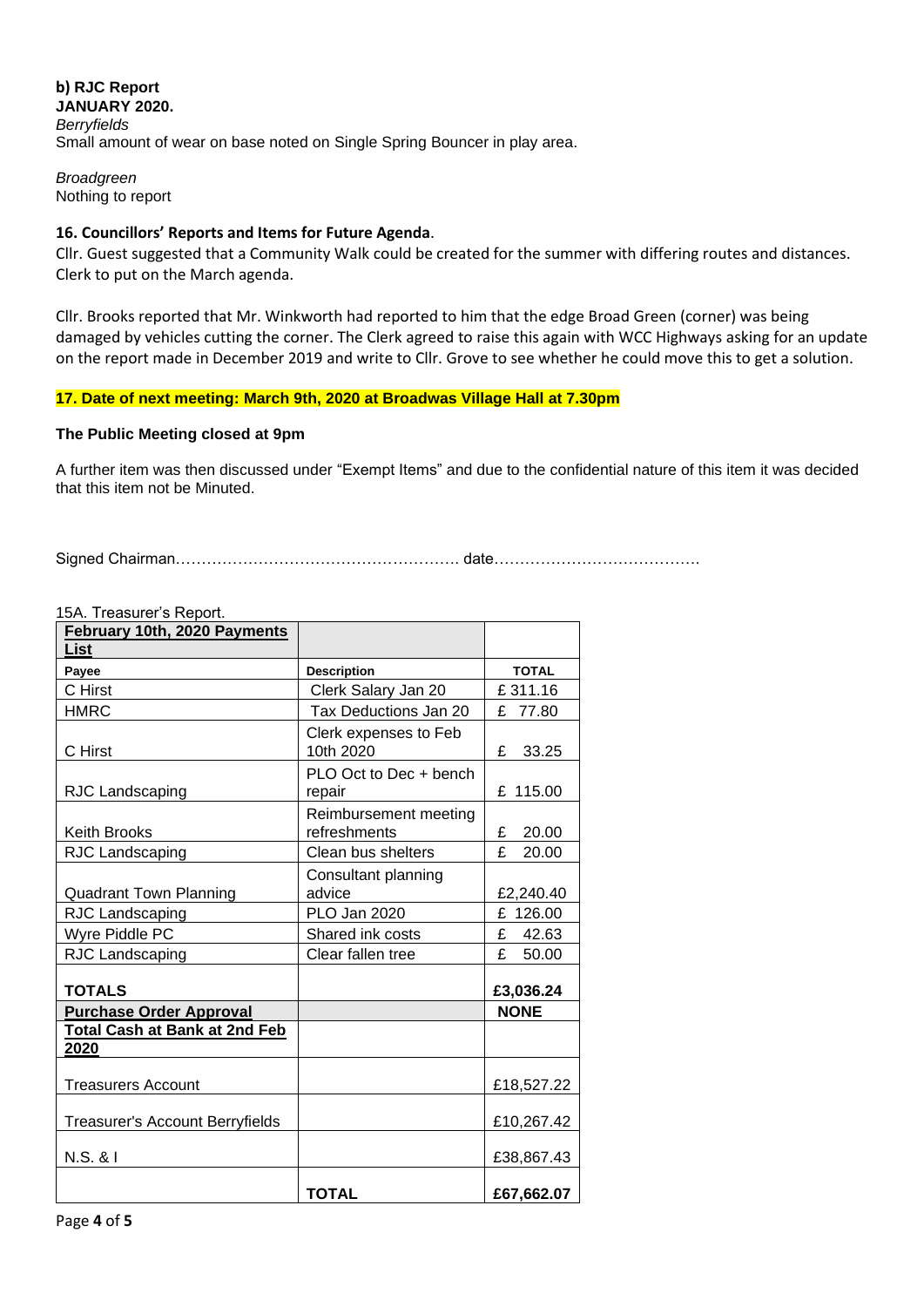**b) RJC Report JANUARY 2020.** *Berryfields* Small amount of wear on base noted on Single Spring Bouncer in play area.

*Broadgreen*  Nothing to report

### **16. Councillors' Reports and Items for Future Agenda**.

Cllr. Guest suggested that a Community Walk could be created for the summer with differing routes and distances. Clerk to put on the March agenda.

Cllr. Brooks reported that Mr. Winkworth had reported to him that the edge Broad Green (corner) was being damaged by vehicles cutting the corner. The Clerk agreed to raise this again with WCC Highways asking for an update on the report made in December 2019 and write to Cllr. Grove to see whether he could move this to get a solution.

## **17. Date of next meeting: March 9th, 2020 at Broadwas Village Hall at 7.30pm**

### **The Public Meeting closed at 9pm**

A further item was then discussed under "Exempt Items" and due to the confidential nature of this item it was decided that this item not be Minuted.

Signed Chairman………………………………………………. date………………………………….

| TOA. TIEASUIEI S REPOIL<br>February 10th, 2020 Payments |                                       |              |
|---------------------------------------------------------|---------------------------------------|--------------|
| List                                                    |                                       |              |
| Payee                                                   | <b>Description</b>                    | <b>TOTAL</b> |
| C Hirst                                                 | Clerk Salary Jan 20                   | £311.16      |
| <b>HMRC</b>                                             | Tax Deductions Jan 20                 | £ 77.80      |
| C Hirst                                                 | Clerk expenses to Feb<br>10th 2020    | £<br>33.25   |
| RJC Landscaping                                         | PLO Oct to Dec + bench<br>repair      | £ 115.00     |
| <b>Keith Brooks</b>                                     | Reimbursement meeting<br>refreshments | 20.00<br>£   |
| RJC Landscaping                                         | Clean bus shelters                    | £<br>20.00   |
| <b>Quadrant Town Planning</b>                           | Consultant planning<br>advice         | £2,240.40    |
| RJC Landscaping                                         | PLO Jan 2020                          | £<br>126.00  |
| Wyre Piddle PC                                          | Shared ink costs                      | £<br>42.63   |
| RJC Landscaping                                         | Clear fallen tree                     | £<br>50.00   |
| <b>TOTALS</b>                                           |                                       | £3,036.24    |
| <b>Purchase Order Approval</b>                          |                                       | <b>NONE</b>  |
| <b>Total Cash at Bank at 2nd Feb</b><br>2020            |                                       |              |
| <b>Treasurers Account</b>                               |                                       | £18,527.22   |
| <b>Treasurer's Account Berryfields</b>                  |                                       | £10,267.42   |
| N.S. & I                                                |                                       | £38,867.43   |
|                                                         | <b>TOTAL</b>                          | £67,662.07   |

15A. Treasurer's Report.